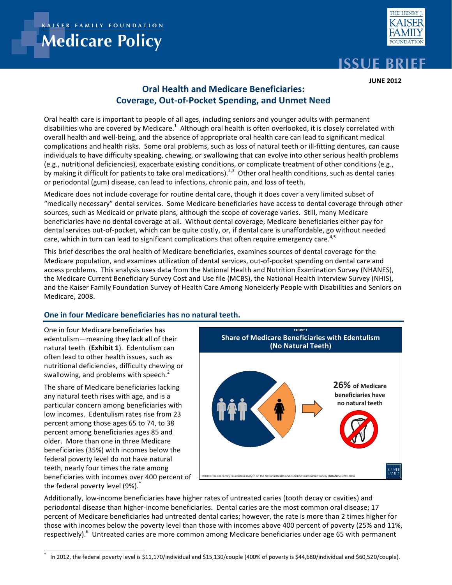**KER FAMILY FOUNDATION** 

# **Medicare Policy**



## **ISSUE BRIEF**

**JUNE 2012** 

## **Oral Health and Medicare Beneficiaries:** Coverage, Out-of-Pocket Spending, and Unmet Need

Oral nearm care is important to people of an ages, including semors and younger adults with permanent<br>The little contractor of the Medition  $\frac{1}{2}$  although with collective conductive control of it is chosen conductive disabilities who are covered by Medicare.<sup>1</sup> Although oral health is often overlooked, it is closely correlated with  $\sim$ disabilities who are covered by Medicare. TARINOUGH Oral Health is often overlooked, it is closely correlated with<br>overall health and well-being, and the absence of appropriate oral health care can lead to significant medi complications and health risks. Some oral problems, such as loss of natural teeth or ill-fitting dentures, can cause individuals to have difficulty speaking, chewing, or swallowing that can evolve into other serious health problems (e.g., nutritional deficiencies), exacerbate existing conditions, or complicate treatment of other conditions (e.g., by making it difficult for patients to take oral medications).<sup>2,3</sup> Other oral health conditions, such as dental caries or periodontal (gum) disease, can lead to infections, chronic pain, and loss of teeth. Oral health care is important to people of all ages, including seniors and younger adults with permanent

Medicare does not include coverage for routine dental care, though it does cover a very limited subset of "medically necessary" dental services. Some Medicare beneficiaries have access to dental coverage through other sources, such as Medicaid or private plans, although the scope of coverage varies. Still, many Medicare beneficiaries have no dental coverage at all. Without dental coverage, Medicare beneficiaries either pay for dental services out-of-pocket, which can be quite costly, or, if dental care is unaffordable, go without needed care, which in turn can lead to significant complications that often require emergency care.<sup>4,5</sup>

This brief describes the oral health of Medicare beneficiaries, examines sources of dental coverage for the Medicare population, and examines utilization of dental services, out-of-pocket spending on dental care and access problems. This analysis uses data from the National Health and Nutrition Examination Survey (NHANES), the Medicare Current Beneficiary Survey Cost and Use file (MCBS), the National Health Interview Survey (NHIS), and the Kaiser Family Foundation Survey of Health Care Among Nonelderly People with Disabilities and Seniors on<br>1990 - The Cases  $\blacksquare$  with  $\blacksquare$  and  $\blacksquare$  and  $\blacksquare$  and  $\blacksquare$  and  $\blacksquare$  and  $\blacksquare$  and  $\blacksquare$  and  $\blacksquare$  and  $\blacksquare$  and  $\blacksquare$  and  $\blacksquare$  and  $\blacksquare$  and  $\blacksquare$  and  $\blacksquare$  and  $\blacksquare$  and  $\blacksquare$  and  $\blacksquare$  and  $\blacksquare$  and  $\blacksquare$  and Medicare, 2008.

## One in four Medicare beneficiaries has no natural teeth.

**One** in four Medicare beneficiaries has **beneficiarism** incoming they lead on the medirecent to such  $\sum_{i=1}^{n}$  and  $\sum_{i=1}^{n}$  and  $\sum_{i=1}^{n}$  and  $\sum_{i=1}^{n}$  and  $\sum_{i=1}^{n}$  and  $\sum_{i=1}^{n}$  and  $\sum_{i=1}^{n}$  and  $\sum_{i=1}^{n}$  and  $\sum_{i=1}^{n}$  and  $\sum_{i=1}^{n}$  and  $\sum_{i=1}^{n}$  and  $\sum_{i=1}^{n}$  and  $\sum$ nutritional deficiencies, difficulty chewing or swallowing, and problems with speech.<sup>2</sup> edentulism—meaning they lack all of their

nutritional constitutions of the discussion of the state of the discussion of the discussion of the state of the state of the state of the state of the state of the state of the state of the state of the state of the state The share of Medicare beneficiaries lacking<br>
any natural teath rises with age, and is a The share of Medicale benencialles lacking particular concern among beneficiaries with low incomes. Edentulism rates rise from 23 percent among those ages 65 to 74, to 38 percent among beneficiaries ages 85 and older. More than one in three Medicare beneficiaries (35%) with incomes below the federal poverty level do not have natural teeth, nearly four times the rate among beneficiaries with incomes over 400 percent of the federal poverty level (9%).<sup>\*</sup>



Additionally, low-income beneficiaries have higher rates of untreated caries (tooth decay or cavities) and periodontal disease than higher-income beneficiaries. Dental caries are the most common oral disease; 17 those with incomes below the poverty level than those with incomes above 400 percent of poverty (25% and 11%, respectively).<sup>6</sup> Untreated caries are more common among Medicare beneficiaries under age 65 with permanent  $\mathcal{L}$  . The distribution of the contract contract contract contract contract contract and  $\mathcal{L}$  or an approximation percent of Medicare beneficiaries had untreated dental caries; however, the rate is more than 2 times higher for

 $\frac{1}{\sqrt{2}}$  , and the comes of the comes of the comes of the comes of the comes of the comes of the comes of the comes of the comes of the comes of the comes of the comes of the comes of the comes of the comes of the com In 2012, the federal poverty level is \$11,170/individual and \$15,130/couple (400% of poverty is \$44,680/individual and \$60,520/couple  $\ddot{x}$ \* In 2012, the federal poverty level is \$11,170/individual and \$15,130/couple (400% of poverty is \$44,680/individual and \$60,520/couple).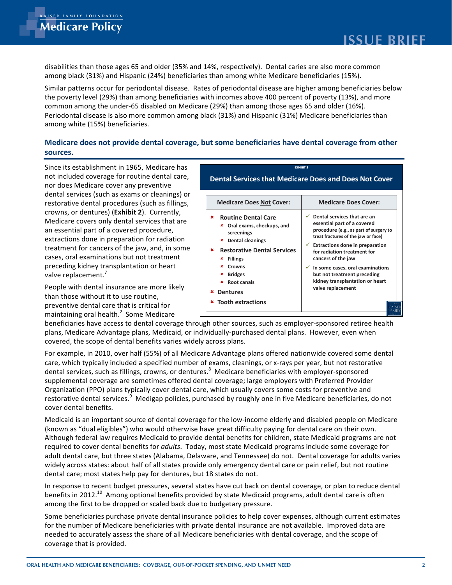disabilities than those ages 65 and older (35% and 14%, respectively). Dental caries are also more common among black (31%) and Hispanic (24%) beneficiaries than among white Medicare beneficiaries (15%).

Similar patterns occur for periodontal disease. Rates of periodontal disease are higher among beneficiaries below the poverty level (29%) than among beneficiaries with incomes above 400 percent of poverty (13%), and more common among the under-65 disabled on Medicare (29%) than among those ages 65 and older (16%). Periodontal disease is also more common among black (31%) and Hispanic (31%) Medicare beneficiaries than among white (15%) beneficiaries.

## Medicare does not provide dental coverage, but some beneficiaries have dental coverage from other sources.

Since its establishment in 1965, Medicare has not included coverage for routine dental care, nor does Medicare cover any preventive dental services (such as exams or cleanings) or restorative dental procedures (such as fillings, crowns, or dentures) (Exhibit 2). Currently, Medicare covers only dental services that are an essential part of a covered procedure, extractions done in preparation for radiation treatment for cancers of the jaw, and, in some cases, oral examinations but not treatment preceding kidney transplantation or heart valve replacement.'

People with dental insurance are more likely than those without it to use routine, preventive dental care that is critical for maintaining oral health. $^2$  Some Medicare

| <b>EXHIBIT 2</b>                                                                                                                                                                                                                                                     |                                                                                                                                                                                                                                                                                                                                                                            |
|----------------------------------------------------------------------------------------------------------------------------------------------------------------------------------------------------------------------------------------------------------------------|----------------------------------------------------------------------------------------------------------------------------------------------------------------------------------------------------------------------------------------------------------------------------------------------------------------------------------------------------------------------------|
| <b>Dental Services that Medicare Does and Does Not Cover</b>                                                                                                                                                                                                         |                                                                                                                                                                                                                                                                                                                                                                            |
|                                                                                                                                                                                                                                                                      |                                                                                                                                                                                                                                                                                                                                                                            |
| <b>Medicare Does Not Cover:</b>                                                                                                                                                                                                                                      | <b>Medicare Does Cover:</b>                                                                                                                                                                                                                                                                                                                                                |
| <b>Routine Dental Care</b><br>×<br>Oral exams, checkups, and<br>×<br>screenings<br><b>Dental cleanings</b><br>×<br><b>Restorative Dental Services</b><br>×<br><b>Fillings</b><br>×<br>×<br>Crowns<br><b>Bridges</b><br>×<br>Root canals<br>×<br><b>Dentures</b><br>× | Dental services that are an<br>✓<br>essential part of a covered<br>procedure (e.g., as part of surgery to<br>treat fractures of the jaw or face)<br><b>Extractions done in preparation</b><br>for radiation treatment for<br>cancers of the jaw<br>In some cases, oral examinations<br>but not treatment preceding<br>kidney transplantation or heart<br>valve replacement |
| <b>Tooth extractions</b><br>×                                                                                                                                                                                                                                        |                                                                                                                                                                                                                                                                                                                                                                            |

beneficiaries have access to dental coverage through other sources, such as employer-sponsored retiree health plans, Medicare Advantage plans, Medicaid, or individually-purchased dental plans. However, even when covered, the scope of dental benefits varies widely across plans.

For example, in 2010, over half (55%) of all Medicare Advantage plans offered nationwide covered some dental care, which typically included a specified number of exams, cleanings, or x-rays per year, but not restorative dental services, such as fillings, crowns, or dentures.<sup>8</sup> Medicare beneficiaries with employer-sponsored supplemental coverage are sometimes offered dental coverage; large employers with Preferred Provider Organization (PPO) plans typically cover dental care, which usually covers some costs for preventive and restorative dental services.<sup>9</sup> Medigap policies, purchased by roughly one in five Medicare beneficiaries, do not cover dental benefits.

Medicaid is an important source of dental coverage for the low-income elderly and disabled people on Medicare (known as "dual eligibles") who would otherwise have great difficulty paying for dental care on their own. Although federal law requires Medicaid to provide dental benefits for children, state Medicaid programs are not required to cover dental benefits for *adults*. Today, most state Medicaid programs include some coverage for adult dental care, but three states (Alabama, Delaware, and Tennessee) do not. Dental coverage for adults varies widely across states: about half of all states provide only emergency dental care or pain relief, but not routine dental care; most states help pay for dentures, but 18 states do not.

In response to recent budget pressures, several states have cut back on dental coverage, or plan to reduce dental benefits in 2012.<sup>10</sup> Among optional benefits provided by state Medicaid programs, adult dental care is often among the first to be dropped or scaled back due to budgetary pressure.

Some beneficiaries purchase private dental insurance policies to help cover expenses, although current estimates for the number of Medicare beneficiaries with private dental insurance are not available. Improved data are needed to accurately assess the share of all Medicare beneficiaries with dental coverage, and the scope of coverage that is provided.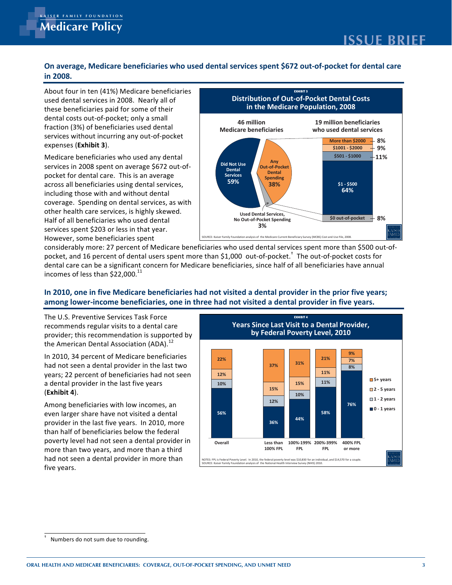## On average, Medicare beneficiaries who used dental services spent \$672 out-of-pocket for dental care **in 
 2008. in 
 2008.**

About four in ten (41%) Medicare beneficiaries we dental services in 2008. Nearly all of these beneficiaries paid for some of their dental costs out-of-pocket; only a small Fraction (3%) of beneficiaries used dental meenon (exe) or senementies assainant. expenses (**Exhibit 3**).

Medicare beneficiaries who used any dental meandare beneficiaties mile asea any dental.<br>Services in 2008 spent on average \$672 out-of- $\frac{1}{2}$  pocket for dental care. This is an average power to them care. This is an aronge across an senementies admig administration. more and more than the menour senter. servinger speriums on dental services, as in beneficiaries who used dental That is can be remember to the dood defined. However, some beneficiaries spent



considerably more: 27 percent of Medicare beneficiaries who used dental services spent more than \$500 out-ofconsiderably more. 27 percent of Medicare beneficialies who used defitar services spent more than 3500 od<br>pocket, and 16 percent of dental users spent more than \$1,000 out-of-pocket. The out-of-pocket costs for dental care can be a significant concern for Medicare beneficiaries, since half of all beneficiaries have annual dental cale can be a significant c<br>incomes of less than \$22,000.<sup>11</sup>

## In 2010, one in five Medicare beneficiaries had not visited a dental provider in the prior five years; among lower-income beneficiaries, one in three had not visited a dental provider in five years.

The U.S. Preventive Services Task Force me of the commends regular visits to a dental care recommendation is supported by provider, this recommendation is supporte<br>the American Dental Association (ADA).<sup>12</sup>

In 2010, 34 percent of Medicare beneficiaries ... **EVERTS FREED TO MODERT SOMETIME SERVICE SERVICE SERVICE SERVICE SERVICE SERVICE SERVICE SERVICE SERVICE SERVICE SERVICE SERVICE SERVICE SERVICE SERVICE SERVICE SERVICE SERVICE SERVICE SERVICE SERVICE SERVICE SERVICE S** we not been a dental promoter in the race the<br>years; 22 percent of beneficiaries had not seen gears, LE persont or senematives had in (**Exhibit 
 4**). 

 (**Exhibit 
 4**). 

Among beneficiaries with low incomes, an rancing beneficiaties than four meented, and there is a dental provider in the last five years. In 2010, more  $\frac{1}{2}$  is than half of beneficiaries below the federal man on sensionance seron and reading<br>poverty level had not seen a dental provider in poverty for example to seem a definer provider.<br>more than two years, and more than a third had not seen a dental provider in more than nee not see<br>five years.



 $\overline{a}$ <br>Numbers do not sum due to rounding Numbers do not sum due to rounding.  $\overline{a}$  . The contract of the contract of the contract of the contract of the contract of the contract of the contract of the contract of the contract of the contract of the contract of the contract of the contract of th †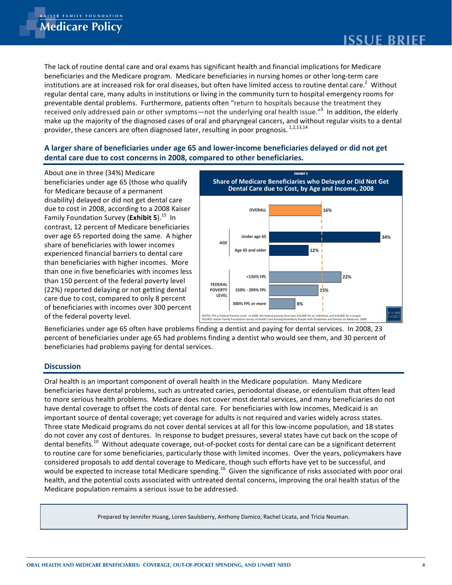The lack of routine dental care and oral exams has significant health and financial implications for Medicare beneficiaries and the Medicare program. Medicare beneficiaries in nursing homes or other long-term care institutions are at increased risk for oral diseases, but often have limited access to routine dental care. $^2$  Without regular dental care, many adults in institutions or living in the community turn to hospital emergency rooms for preventable dental problems. Furthermore, patients often "return to hospitals because the treatment they received only addressed pain or other symptoms—not the underlying oral health issue."<sup>5</sup> In addition, the elderly make up the majority of the diagnosed cases of oral and pharyngeal cancers, and without regular visits to a dental provider, these cancers are often diagnosed later, resulting in poor prognosis.<sup>1,2,13,14</sup>

### A larger share of beneficiaries under age 65 and lower-income beneficiaries delayed or did not get  $\overline{\phantom{a}}$  , and  $\overline{\phantom{a}}$  , and  $\overline{\phantom{a}}$  , and  $\overline{\phantom{a}}$ dental care due to cost concerns in 2008, compared to other beneficiaries.

About one in three (34%) Medicare beneficiaries under age 65 (those who qualify for Medicare because of a permanent disability) delayed or did not get dental care due to cost in 2008, according to a 2008 Kaiser Family Foundation Survey (**Exhibit 5**).<sup>15</sup> In contrast, 12 percent of Medicare beneficiaries over age 65 reported doing the same. A higher share of beneficiaries with lower incomes experienced financial barriers to dental care than beneficiaries with higher incomes. More than one in five beneficiaries with incomes less than 150 percent of the federal poverty level (22%) reported delaying or not getting dental care due to cost, compared to only 8 percent of beneficiaries with incomes over 300 percent of the federal poverty level.



Beneficiaries under age 65 often have problems finding a dentist and paying for dental services. In 2008, 23 percent of beneficiaries under age 65 had problems finding a dentist who would see them, and 30 percent of beneficiaries had problems paying for dental services.

#### $\mathcal{L}^{\text{max}}$  is a substitute of the state of the state of the state of the state of the state of the state of the state of the state of the state of the state of the state of the state of the state of the state of the s **Discussion**

Oral health is an important component of overall health in the Medicare population. Many Medicare beneficiaries have dental problems, such as untreated caries, periodontal disease, or edentulism that often lead to more serious health problems. Medicare does not cover most dental services, and many beneficiaries do not have dental coverage to offset the costs of dental care. For beneficiaries with low incomes, Medicaid is an important source of dental coverage; yet coverage for adults is not required and varies widely across states. Three state Medicaid programs do not cover dental services at all for this low-income population, and 18 states do not cover any cost of dentures. In response to budget pressures, several states have cut back on the scope of dental benefits.<sup>10</sup> Without adequate coverage, out-of-pocket costs for dental care can be a significant deterrent to routine care for some beneficiaries, particularly those with limited incomes. Over the years, policymakers have considered proposals to add dental coverage to Medicare, though such efforts have yet to be successful, and would be expected to increase total Medicare spending.<sup>16</sup> Given the significance of risks associated with poor oral health, and the potential costs associated with untreated dental concerns, improving the oral health status of the Medicare population remains a serious issue to be addressed.

Prepared by Jennifer Huang, Loren Saulsberry, Anthony Damico, Rachel Licata, and Tricia Neuman.